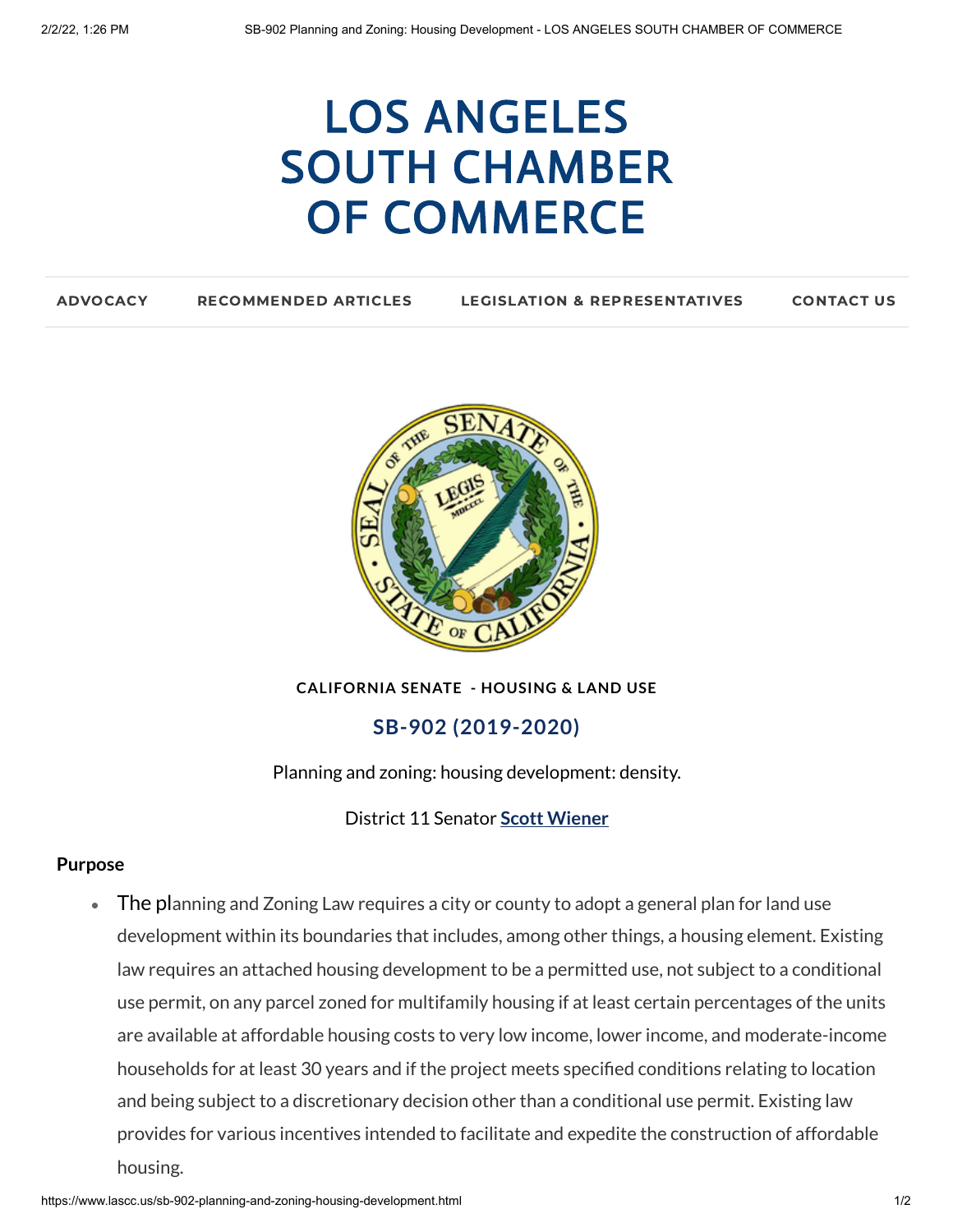# LOS ANGELES SOUTH CHAMBER OF [COMMERCE](https://www.lascc.us/)

| <b>ADVOCACY</b> | <b>RECOMMENDED ARTICLES</b> | <b>LEGISLATION &amp; REPRESENTATIVES</b> | <b>CONTACT US</b> |
|-----------------|-----------------------------|------------------------------------------|-------------------|
|                 |                             |                                          |                   |



**CALIFORNIA SENATE - HOUSING & LAND USE**

## **SB-902 (2019-2020)**

Planning and zoning: housing development: density.

District 11 Senator **Scott [Wiener](https://sd11.senate.ca.gov/)**

#### **Purpose**

 $\bullet$ The planning and Zoning Law requires a city or county to adopt a general plan for land use development within its boundaries that includes, among other things, a housing element. Existing law requires an attached housing development to be a permitted use, not subject to a conditional use permit, on any parcel zoned for multifamily housing if at least certain percentages of the units are available at affordable housing costs to very low income, lower income, and moderate-income households for at least 30 years and if the project meets specified conditions relating to location and being subject to a discretionary decision other than a conditional use permit. Existing law provides for various incentives intended to facilitate and expedite the construction of affordable housing.